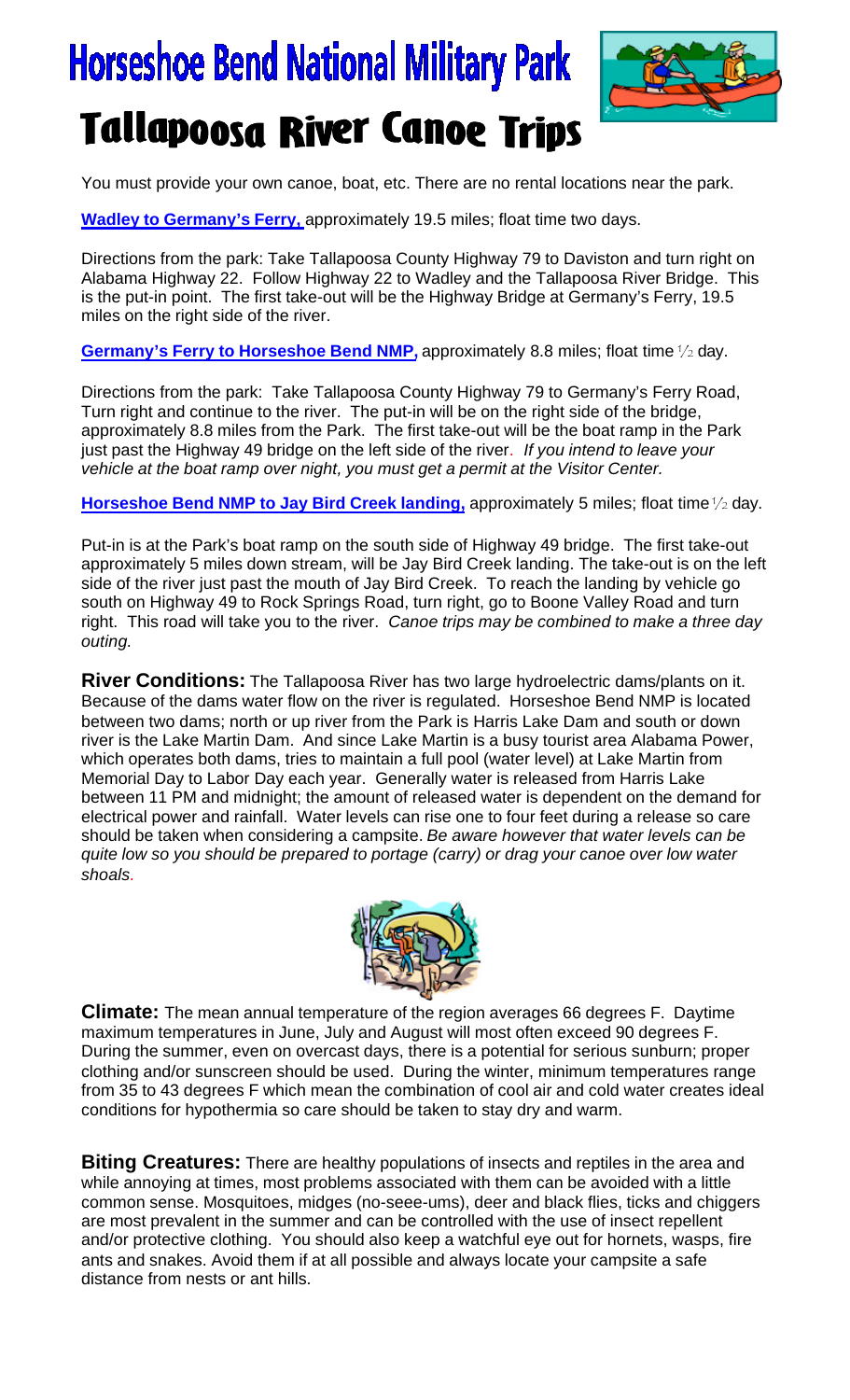## **Horseshoe Bend National Military Park Tallapoosa River Canoe Trips**



You must provide your own canoe, boat, etc. There are no rental locations near the park.

**Wadley to Germany's Ferry,** approximately 19.5 miles; float time two days.

Directions from the park: Take Tallapoosa County Highway 79 to Daviston and turn right on Alabama Highway 22. Follow Highway 22 to Wadley and the Tallapoosa River Bridge. This is the put-in point. The first take-out will be the Highway Bridge at Germany's Ferry, 19.5 miles on the right side of the river.

Germany's Ferry to Horseshoe Bend NMP, approximately 8.8 miles; float time  $\frac{1}{2}$  day.

Directions from the park: Take Tallapoosa County Highway 79 to Germany's Ferry Road, Turn right and continue to the river. The put-in will be on the right side of the bridge, approximately 8.8 miles from the Park. The first take-out will be the boat ramp in the Park just past the Highway 49 bridge on the left side of the river. *If you intend to leave your vehicle at the boat ramp over night, you must get a permit at the Visitor Center.*

Horseshoe Bend NMP to Jay Bird Creek landing, approximately 5 miles; float time <sup>1</sup>/<sub>2</sub> day.

Put-in is at the Park's boat ramp on the south side of Highway 49 bridge. The first take-out approximately 5 miles down stream, will be Jay Bird Creek landing. The take-out is on the left side of the river just past the mouth of Jay Bird Creek. To reach the landing by vehicle go south on Highway 49 to Rock Springs Road, turn right, go to Boone Valley Road and turn right. This road will take you to the river. *Canoe trips may be combined to make a three day outing.*

**River Conditions:** The Tallapoosa River has two large hydroelectric dams/plants on it. Because of the dams water flow on the river is regulated. Horseshoe Bend NMP is located between two dams; north or up river from the Park is Harris Lake Dam and south or down river is the Lake Martin Dam. And since Lake Martin is a busy tourist area Alabama Power, which operates both dams, tries to maintain a full pool (water level) at Lake Martin from Memorial Day to Labor Day each year. Generally water is released from Harris Lake between 11 PM and midnight; the amount of released water is dependent on the demand for electrical power and rainfall. Water levels can rise one to four feet during a release so care should be taken when considering a campsite. *Be aware however that water levels can be quite low so you should be prepared to portage (carry) or drag your canoe over low water shoals.*



**Climate:** The mean annual temperature of the region averages 66 degrees F. Daytime maximum temperatures in June, July and August will most often exceed 90 degrees F. During the summer, even on overcast days, there is a potential for serious sunburn; proper clothing and/or sunscreen should be used. During the winter, minimum temperatures range from 35 to 43 degrees F which mean the combination of cool air and cold water creates ideal conditions for hypothermia so care should be taken to stay dry and warm.

**Biting Creatures:** There are healthy populations of insects and reptiles in the area and while annoying at times, most problems associated with them can be avoided with a little common sense. Mosquitoes, midges (no-seee-ums), deer and black flies, ticks and chiggers are most prevalent in the summer and can be controlled with the use of insect repellent and/or protective clothing. You should also keep a watchful eye out for hornets, wasps, fire ants and snakes. Avoid them if at all possible and always locate your campsite a safe distance from nests or ant hills.